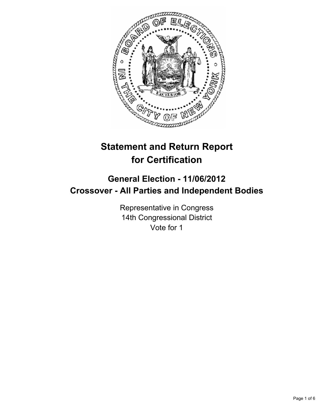

# **Statement and Return Report for Certification**

# **General Election - 11/06/2012 Crossover - All Parties and Independent Bodies**

Representative in Congress 14th Congressional District Vote for 1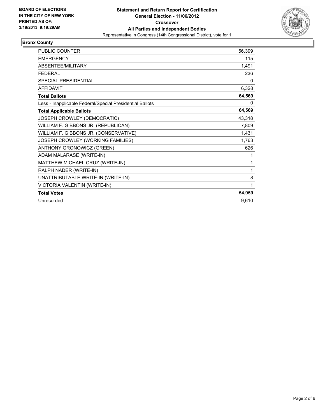

#### **Bronx County**

| <b>PUBLIC COUNTER</b>                                    | 56,399 |
|----------------------------------------------------------|--------|
| <b>EMERGENCY</b>                                         | 115    |
| ABSENTEE/MILITARY                                        | 1,491  |
| <b>FEDERAL</b>                                           | 236    |
| <b>SPECIAL PRESIDENTIAL</b>                              | 0      |
| <b>AFFIDAVIT</b>                                         | 6,328  |
| <b>Total Ballots</b>                                     | 64,569 |
| Less - Inapplicable Federal/Special Presidential Ballots | 0      |
| <b>Total Applicable Ballots</b>                          | 64,569 |
| JOSEPH CROWLEY (DEMOCRATIC)                              | 43,318 |
| WILLIAM F. GIBBONS JR. (REPUBLICAN)                      | 7,809  |
| WILLIAM F. GIBBONS JR. (CONSERVATIVE)                    | 1,431  |
| JOSEPH CROWLEY (WORKING FAMILIES)                        | 1,763  |
| ANTHONY GRONOWICZ (GREEN)                                | 626    |
| ADAM MALARASE (WRITE-IN)                                 | 1      |
| MATTHEW MICHAEL CRUZ (WRITE-IN)                          | 1      |
| RALPH NADER (WRITE-IN)                                   | 1      |
| UNATTRIBUTABLE WRITE-IN (WRITE-IN)                       | 8      |
| VICTORIA VALENTIN (WRITE-IN)                             | 1      |
| <b>Total Votes</b>                                       | 54,959 |
| Unrecorded                                               | 9,610  |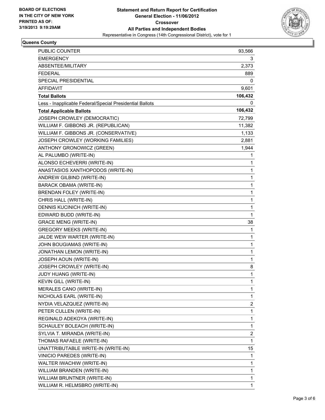

## **Queens County**

| <b>PUBLIC COUNTER</b>                                    | 93,566  |
|----------------------------------------------------------|---------|
| <b>EMERGENCY</b>                                         | 3       |
| ABSENTEE/MILITARY                                        | 2,373   |
| <b>FEDERAL</b>                                           | 889     |
| SPECIAL PRESIDENTIAL                                     | 0       |
| AFFIDAVIT                                                | 9,601   |
| <b>Total Ballots</b>                                     | 106,432 |
| Less - Inapplicable Federal/Special Presidential Ballots | 0       |
| <b>Total Applicable Ballots</b>                          | 106,432 |
| JOSEPH CROWLEY (DEMOCRATIC)                              | 72,799  |
| WILLIAM F. GIBBONS JR. (REPUBLICAN)                      | 11,382  |
| WILLIAM F. GIBBONS JR. (CONSERVATIVE)                    | 1,133   |
| JOSEPH CROWLEY (WORKING FAMILIES)                        | 2,881   |
| ANTHONY GRONOWICZ (GREEN)                                | 1,944   |
| AL PALUMBO (WRITE-IN)                                    | 1       |
| ALONSO ECHEVERRI (WRITE-IN)                              | 1       |
| ANASTASIOS XANTHOPODOS (WRITE-IN)                        | 1       |
| ANDREW GILBIND (WRITE-IN)                                | 1       |
| <b>BARACK OBAMA (WRITE-IN)</b>                           | 1       |
| BRENDAN FOLEY (WRITE-IN)                                 | 1       |
| CHRIS HALL (WRITE-IN)                                    | 1       |
| DENNIS KUCINICH (WRITE-IN)                               | 1       |
| EDWARD BUDD (WRITE-IN)                                   | 1       |
| <b>GRACE MENG (WRITE-IN)</b>                             | 38      |
| <b>GREGORY MEEKS (WRITE-IN)</b>                          | 1       |
| JALDE WEW WARTER (WRITE-IN)                              | 1       |
| JOHN BOUGIAMAS (WRITE-IN)                                | 1       |
| JONATHAN LEMON (WRITE-IN)                                | 1       |
| JOSEPH AOUN (WRITE-IN)                                   | 1       |
| JOSEPH CROWLEY (WRITE-IN)                                | 8       |
| JUDY HUANG (WRITE-IN)                                    | 1       |
| KEVIN GILL (WRITE-IN)                                    | 1       |
| MERALES CANO (WRITE-IN)                                  | 1       |
| NICHOLAS EARL (WRITE-IN)                                 | 1       |
| NYDIA VELAZQUEZ (WRITE-IN)                               | 2       |
| PETER CULLEN (WRITE-IN)                                  | 1       |
| REGINALD ADEKOYA (WRITE-IN)                              | 1       |
| SCHAULEY BOLEACH (WRITE-IN)                              | 1       |
| SYLVIA T. MIRANDA (WRITE-IN)                             | 2       |
| THOMAS RAFAELE (WRITE-IN)                                | 1       |
| UNATTRIBUTABLE WRITE-IN (WRITE-IN)                       | 15      |
| VINICIO PAREDES (WRITE-IN)                               | 1       |
| WALTER IWACHIW (WRITE-IN)                                | 1       |
| WILLIAM BRANDEN (WRITE-IN)                               | 1       |
| WILLIAM BRUNTNER (WRITE-IN)                              | 1       |
| WILLIAM R. HELMSBRO (WRITE-IN)                           | 1       |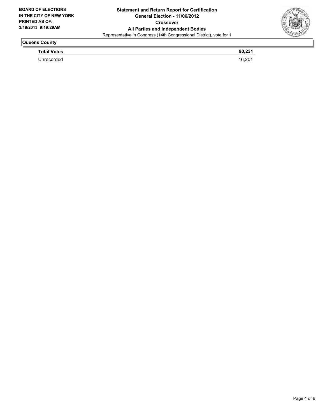

## **Queens County**

**Total Votes 90,231**  Unrecorded 16,201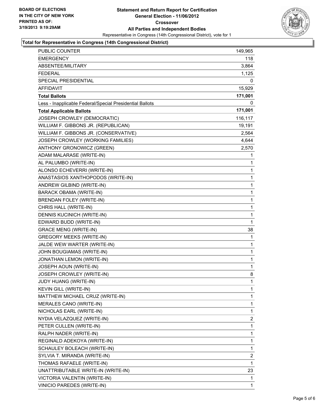

#### **Total for Representative in Congress (14th Congressional District)**

| PUBLIC COUNTER                                           | 149,965      |
|----------------------------------------------------------|--------------|
| EMERGENCY                                                | 118          |
| ABSENTEE/MILITARY                                        | 3,864        |
| <b>FEDERAL</b>                                           | 1,125        |
| SPECIAL PRESIDENTIAL                                     | 0            |
| <b>AFFIDAVIT</b>                                         | 15,929       |
| <b>Total Ballots</b>                                     | 171,001      |
| Less - Inapplicable Federal/Special Presidential Ballots | 0            |
| <b>Total Applicable Ballots</b>                          | 171,001      |
| JOSEPH CROWLEY (DEMOCRATIC)                              | 116,117      |
| WILLIAM F. GIBBONS JR. (REPUBLICAN)                      | 19,191       |
| WILLIAM F. GIBBONS JR. (CONSERVATIVE)                    | 2,564        |
| JOSEPH CROWLEY (WORKING FAMILIES)                        | 4,644        |
| ANTHONY GRONOWICZ (GREEN)                                | 2,570        |
| ADAM MALARASE (WRITE-IN)                                 | 1            |
| AL PALUMBO (WRITE-IN)                                    | 1            |
| ALONSO ECHEVERRI (WRITE-IN)                              | 1            |
| ANASTASIOS XANTHOPODOS (WRITE-IN)                        | 1            |
| ANDREW GILBIND (WRITE-IN)                                | 1            |
| <b>BARACK OBAMA (WRITE-IN)</b>                           | 1            |
| <b>BRENDAN FOLEY (WRITE-IN)</b>                          | 1            |
| CHRIS HALL (WRITE-IN)                                    | 1            |
| DENNIS KUCINICH (WRITE-IN)                               | 1            |
| EDWARD BUDD (WRITE-IN)                                   | 1            |
| <b>GRACE MENG (WRITE-IN)</b>                             | 38           |
| <b>GREGORY MEEKS (WRITE-IN)</b>                          | 1            |
| JALDE WEW WARTER (WRITE-IN)                              | 1            |
| JOHN BOUGIAMAS (WRITE-IN)                                | 1            |
| JONATHAN LEMON (WRITE-IN)                                | 1            |
| JOSEPH AOUN (WRITE-IN)                                   | 1            |
| JOSEPH CROWLEY (WRITE-IN)                                | 8            |
| JUDY HUANG (WRITE-IN)                                    | $\mathbf{1}$ |
| KEVIN GILL (WRITE-IN)                                    | 1            |
| MATTHEW MICHAEL CRUZ (WRITE-IN)                          | 1            |
| MERALES CANO (WRITE-IN)                                  | 1            |
| NICHOLAS EARL (WRITE-IN)                                 | 1            |
| NYDIA VELAZQUEZ (WRITE-IN)                               | 2            |
| PETER CULLEN (WRITE-IN)                                  | 1            |
| RALPH NADER (WRITE-IN)                                   | 1            |
| REGINALD ADEKOYA (WRITE-IN)                              | 1            |
| SCHAULEY BOLEACH (WRITE-IN)                              | 1            |
| SYLVIA T. MIRANDA (WRITE-IN)                             | 2            |
| THOMAS RAFAELE (WRITE-IN)                                | 1            |
| UNATTRIBUTABLE WRITE-IN (WRITE-IN)                       | 23           |
| VICTORIA VALENTIN (WRITE-IN)                             | 1            |
| VINICIO PAREDES (WRITE-IN)                               | 1            |